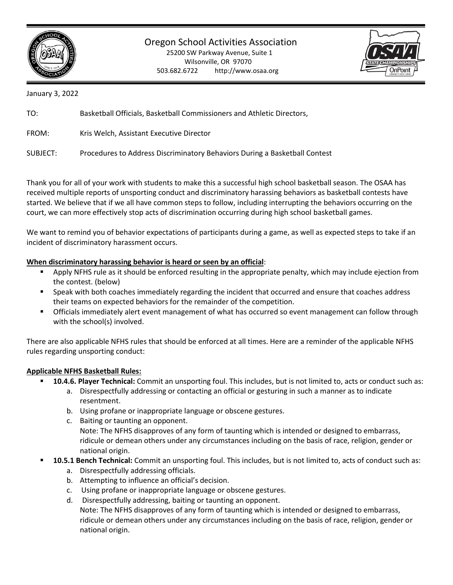

Oregon School Activities Association

25200 SW Parkway Avenue, Suite 1 Wilsonville, OR 97070 503.682.6722 http://www.osaa.org



January 3, 2022

TO: Basketball Officials, Basketball Commissioners and Athletic Directors,

FROM: Kris Welch, Assistant Executive Director

SUBJECT: Procedures to Address Discriminatory Behaviors During a Basketball Contest

Thank you for all of your work with students to make this a successful high school basketball season. The OSAA has received multiple reports of unsporting conduct and discriminatory harassing behaviors as basketball contests have started. We believe that if we all have common steps to follow, including interrupting the behaviors occurring on the court, we can more effectively stop acts of discrimination occurring during high school basketball games.

We want to remind you of behavior expectations of participants during a game, as well as expected steps to take if an incident of discriminatory harassment occurs.

# **When discriminatory harassing behavior is heard or seen by an official**:

- Apply NFHS rule as it should be enforced resulting in the appropriate penalty, which may include ejection from the contest. (below)
- Speak with both coaches immediately regarding the incident that occurred and ensure that coaches address their teams on expected behaviors for the remainder of the competition.
- **•** Officials immediately alert event management of what has occurred so event management can follow through with the school(s) involved.

There are also applicable NFHS rules that should be enforced at all times. Here are a reminder of the applicable NFHS rules regarding unsporting conduct:

# **Applicable NFHS Basketball Rules:**

- 10.4.6. Player Technical: Commit an unsporting foul. This includes, but is not limited to, acts or conduct such as:
	- a. Disrespectfully addressing or contacting an official or gesturing in such a manner as to indicate resentment.
	- b. Using profane or inappropriate language or obscene gestures.
	- c. Baiting or taunting an opponent.

Note: The NFHS disapproves of any form of taunting which is intended or designed to embarrass, ridicule or demean others under any circumstances including on the basis of race, religion, gender or national origin.

- 10.5.1 Bench Technical: Commit an unsporting foul. This includes, but is not limited to, acts of conduct such as:
	- a. Disrespectfully addressing officials.
	- b. Attempting to influence an official's decision.
	- c. Using profane or inappropriate language or obscene gestures.
	- d. Disrespectfully addressing, baiting or taunting an opponent.
		- Note: The NFHS disapproves of any form of taunting which is intended or designed to embarrass, ridicule or demean others under any circumstances including on the basis of race, religion, gender or national origin.